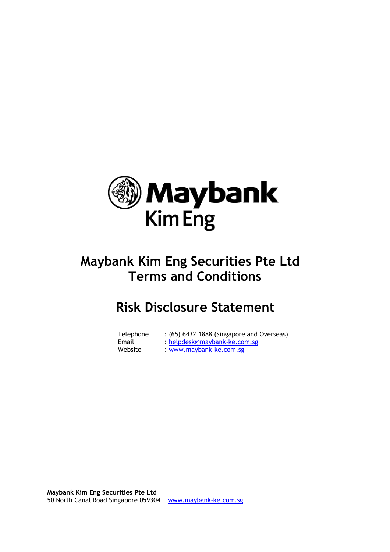

# **Maybank Kim Eng Securities Pte Ltd Terms and Conditions**

# **Risk Disclosure Statement**

| Telephone | : (65) 6432 1888 (Singapore and Overseas) |
|-----------|-------------------------------------------|
| Email     | : helpdesk@maybank-ke.com.sg              |
| Website   | : www.maybank-ke.com.sg                   |

**Maybank Kim Eng Securities Pte Ltd** 50 North Canal Road Singapore 059304 | www.maybank-ke.com.sg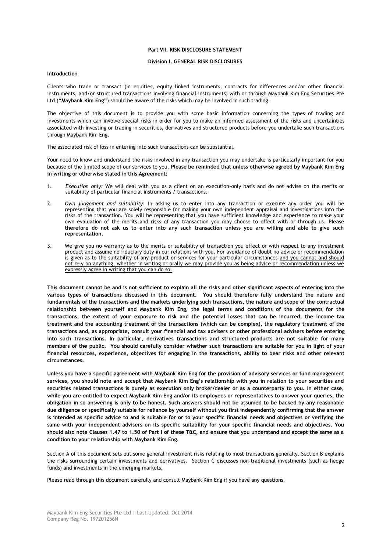#### **Division L. GENERAL RISK DISCLOSURES**

#### **Introduction**

Clients who trade or transact (in equities, equity linked instruments, contracts for differences and/or other financial instruments, and/or structured transactions involving financial instruments) with or through Maybank Kim Eng Securities Pte Ltd (**"Maybank Kim Eng"**) should be aware of the risks which may be involved in such trading.

The objective of this document is to provide you with some basic information concerning the types of trading and investments which can involve special risks in order for you to make an informed assessment of the risks and uncertainties associated with investing or trading in securities, derivatives and structured products before you undertake such transactions through Maybank Kim Eng.

The associated risk of loss in entering into such transactions can be substantial.

Your need to know and understand the risks involved in any transaction you may undertake is particularly important for you because of the limited scope of our services to you. **Please be reminded that unless otherwise agreed by Maybank Kim Eng in writing or otherwise stated in this Agreement:**

- 1. *Execution only:* We will deal with you as a client on an execution-only basis and do not advise on the merits or suitability of particular financial instruments / transactions.
- 2. *Own judgement and suitability:* In asking us to enter into any transaction or execute any order you will be representing that you are solely responsible for making your own independent appraisal and investigations into the risks of the transaction. You will be representing that you have sufficient knowledge and experience to make your own evaluation of the merits and risks of any transaction you may choose to effect with or through us. **Please therefore do not ask us to enter into any such transaction unless you are willing and able to give such representation.**
- 3. We give you no warranty as to the merits or suitability of transaction you effect or with respect to any investment product and assume no fiduciary duty in our relations with you. For avoidance of doubt no advice or recommendation is given as to the suitability of any product or services for your particular circumstances and you cannot and should not rely on anything, whether in writing or orally we may provide you as being advice or recommendation unless we expressly agree in writing that you can do so.

**This document cannot be and is not sufficient to explain all the risks and other significant aspects of entering into the various types of transactions discussed in this document. You should therefore fully understand the nature and fundamentals of the transactions and the markets underlying such transactions, the nature and scope of the contractual relationship between yourself and Maybank Kim Eng, the legal terms and conditions of the documents for the transactions, the extent of your exposure to risk and the potential losses that can be incurred, the income tax treatment and the accounting treatment of the transactions (which can be complex), the regulatory treatment of the transactions and, as appropriate, consult your financial and tax advisers or other professional advisers before entering into such transactions. In particular, derivatives transactions and structured products are not suitable for many members of the public. You should carefully consider whether such transactions are suitable for you in light of your financial resources, experience, objectives for engaging in the transactions, ability to bear risks and other relevant circumstances.**

**Unless you have a specific agreement with Maybank Kim Eng for the provision of advisory services or fund management services, you should note and accept that Maybank Kim Eng's relationship with you in relation to your securities and securities related transactions is purely as execution only broker/dealer or as a counterparty to you. In either case, while you are entitled to expect Maybank Kim Eng and/or its employees or representatives to answer your queries, the obligation in so answering is only to be honest. Such answers should not be assumed to be backed by any reasonable due diligence or specifically suitable for reliance by yourself without you first independently confirming that the answer is intended as specific advice to and is suitable for or to your specific financial needs and objectives or verifying the same with your independent advisers on its specific suitability for your specific financial needs and objectives. You should also note Clauses 1.47 to 1.50 of Part I of these T&C, and ensure that you understand and accept the same as a condition to your relationship with Maybank Kim Eng.**

Section A of this document sets out some general investment risks relating to most transactions generally. Section B explains the risks surrounding certain investments and derivatives. Section C discusses non-traditional investments (such as hedge funds) and investments in the emerging markets.

Please read through this document carefully and consult Maybank Kim Eng if you have any questions.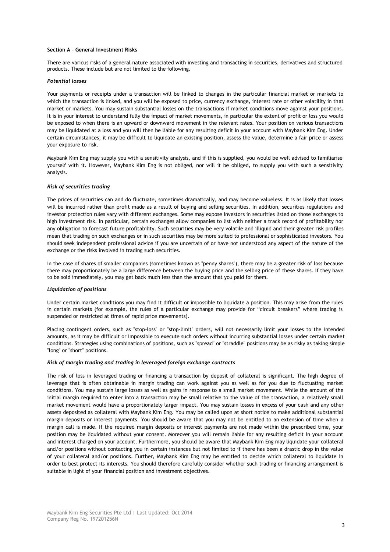## **Section A – General Investment Risks**

There are various risks of a general nature associated with investing and transacting in securities, derivatives and structured products. These include but are not limited to the following.

## *Potential losses*

Your payments or receipts under a transaction will be linked to changes in the particular financial market or markets to which the transaction is linked, and you will be exposed to price, currency exchange, interest rate or other volatility in that market or markets. You may sustain substantial losses on the transactions if market conditions move against your positions. It is in your interest to understand fully the impact of market movements, in particular the extent of profit or loss you would be exposed to when there is an upward or downward movement in the relevant rates. Your position on various transactions may be liquidated at a loss and you will then be liable for any resulting deficit in your account with Maybank Kim Eng. Under certain circumstances, it may be difficult to liquidate an existing position, assess the value, determine a fair price or assess your exposure to risk.

Maybank Kim Eng may supply you with a sensitivity analysis, and if this is supplied, you would be well advised to familiarise yourself with it. However, Maybank Kim Eng is not obliged, nor will it be obliged, to supply you with such a sensitivity analysis.

## *Risk of securities trading*

The prices of securities can and do fluctuate, sometimes dramatically, and may become valueless. It is as likely that losses will be incurred rather than profit made as a result of buying and selling securities. In addition, securities regulations and investor protection rules vary with different exchanges. Some may expose investors in securities listed on those exchanges to high investment risk. In particular, certain exchanges allow companies to list with neither a track record of profitability nor any obligation to forecast future profitability. Such securities may be very volatile and illiquid and their greater risk profiles mean that trading on such exchanges or in such securities may be more suited to professional or sophisticated investors. You should seek independent professional advice if you are uncertain of or have not understood any aspect of the nature of the exchange or the risks involved in trading such securities.

In the case of shares of smaller companies (sometimes known as "penny shares"), there may be a greater risk of loss because there may proportionately be a large difference between the buying price and the selling price of these shares. If they have to be sold immediately, you may get back much less than the amount that you paid for them.

#### *Liquidation of positions*

Under certain market conditions you may find it difficult or impossible to liquidate a position. This may arise from the rules in certain markets (for example, the rules of a particular exchange may provide for "circuit breakers" where trading is suspended or restricted at times of rapid price movements).

Placing contingent orders, such as "stop-loss" or "stop-limit" orders, will not necessarily limit your losses to the intended amounts, as it may be difficult or impossible to execute such orders without incurring substantial losses under certain market conditions. Strategies using combinations of positions, such as "spread" or "straddle" positions may be as risky as taking simple "long" or "short" positions.

#### *Risk of margin trading and trading in leveraged foreign exchange contracts*

The risk of loss in leveraged trading or financing a transaction by deposit of collateral is significant. The high degree of leverage that is often obtainable in margin trading can work against you as well as for you due to fluctuating market conditions. You may sustain large losses as well as gains in response to a small market movement. While the amount of the initial margin required to enter into a transaction may be small relative to the value of the transaction, a relatively small market movement would have a proportionately larger impact. You may sustain losses in excess of your cash and any other assets deposited as collateral with Maybank Kim Eng. You may be called upon at short notice to make additional substantial margin deposits or interest payments. You should be aware that you may not be entitled to an extension of time when a margin call is made. If the required margin deposits or interest payments are not made within the prescribed time, your position may be liquidated without your consent. Moreover you will remain liable for any resulting deficit in your account and interest charged on your account. Furthermore, you should be aware that Maybank Kim Eng may liquidate your collateral and/or positions without contacting you in certain instances but not limited to if there has been a drastic drop in the value of your collateral and/or positions. Further, Maybank Kim Eng may be entitled to decide which collateral to liquidate in order to best protect its interests. You should therefore carefully consider whether such trading or financing arrangement is suitable in light of your financial position and investment objectives.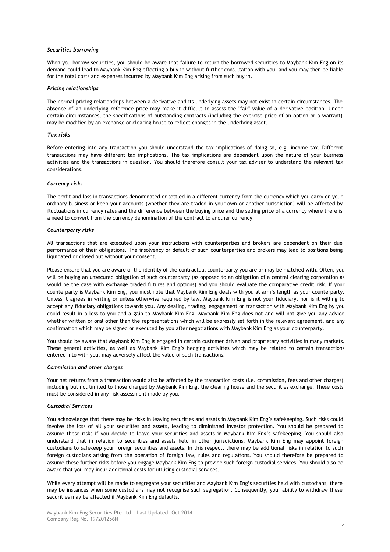#### *Securities borrowing*

When you borrow securities, you should be aware that failure to return the borrowed securities to Maybank Kim Eng on its demand could lead to Maybank Kim Eng effecting a buy in without further consultation with you, and you may then be liable for the total costs and expenses incurred by Maybank Kim Eng arising from such buy in.

#### *Pricing relationships*

The normal pricing relationships between a derivative and its underlying assets may not exist in certain circumstances. The absence of an underlying reference price may make it difficult to assess the "fair" value of a derivative position. Under certain circumstances, the specifications of outstanding contracts (including the exercise price of an option or a warrant) may be modified by an exchange or clearing house to reflect changes in the underlying asset.

## *Tax risks*

Before entering into any transaction you should understand the tax implications of doing so, e.g. income tax. Different transactions may have different tax implications. The tax implications are dependent upon the nature of your business activities and the transactions in question. You should therefore consult your tax adviser to understand the relevant tax considerations.

### *Currency risks*

The profit and loss in transactions denominated or settled in a different currency from the currency which you carry on your ordinary business or keep your accounts (whether they are traded in your own or another jurisdiction) will be affected by fluctuations in currency rates and the difference between the buying price and the selling price of a currency where there is a need to convert from the currency denomination of the contract to another currency.

#### *Counterparty risks*

All transactions that are executed upon your instructions with counterparties and brokers are dependent on their due performance of their obligations. The insolvency or default of such counterparties and brokers may lead to positions being liquidated or closed out without your consent.

Please ensure that you are aware of the identity of the contractual counterparty you are or may be matched with. Often, you will be buying an unsecured obligation of such counterparty (as opposed to an obligation of a central clearing corporation as would be the case with exchange traded futures and options) and you should evaluate the comparative credit risk. If your counterparty is Maybank Kim Eng, you must note that Maybank Kim Eng deals with you at arm"s length as your counterparty. Unless it agrees in writing or unless otherwise required by law, Maybank Kim Eng is not your fiduciary, nor is it willing to accept any fiduciary obligations towards you. Any dealing, trading, engagement or transaction with Maybank Kim Eng by you could result in a loss to you and a gain to Maybank Kim Eng. Maybank Kim Eng does not and will not give you any advice whether written or oral other than the representations which will be expressly set forth in the relevant agreement, and any confirmation which may be signed or executed by you after negotiations with Maybank Kim Eng as your counterparty.

You should be aware that Maybank Kim Eng is engaged in certain customer driven and proprietary activities in many markets. These general activities, as well as Maybank Kim Eng"s hedging activities which may be related to certain transactions entered into with you, may adversely affect the value of such transactions.

#### *Commission and other charges*

Your net returns from a transaction would also be affected by the transaction costs (i.e. commission, fees and other charges) including but not limited to those charged by Maybank Kim Eng, the clearing house and the securities exchange. These costs must be considered in any risk assessment made by you.

#### *Custodial Services*

You acknowledge that there may be risks in leaving securities and assets in Maybank Kim Eng"s safekeeping. Such risks could involve the loss of all your securities and assets, leading to diminished investor protection. You should be prepared to assume these risks if you decide to leave your securities and assets in Maybank Kim Eng's safekeeping. You should also understand that in relation to securities and assets held in other jurisdictions, Maybank Kim Eng may appoint foreign custodians to safekeep your foreign securities and assets. In this respect, there may be additional risks in relation to such foreign custodians arising from the operation of foreign law, rules and regulations. You should therefore be prepared to assume these further risks before you engage Maybank Kim Eng to provide such foreign custodial services. You should also be aware that you may incur additional costs for utilising custodial services.

While every attempt will be made to segregate your securities and Maybank Kim Eng's securities held with custodians, there may be instances when some custodians may not recognise such segregation. Consequently, your ability to withdraw these securities may be affected if Maybank Kim Eng defaults.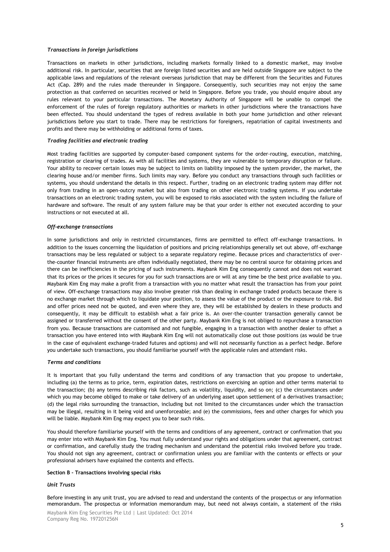#### *Transactions in foreign jurisdictions*

Transactions on markets in other jurisdictions, including markets formally linked to a domestic market, may involve additional risk. In particular, securities that are foreign listed securities and are held outside Singapore are subject to the applicable laws and regulations of the relevant overseas jurisdiction that may be different from the Securities and Futures Act (Cap. 289) and the rules made thereunder in Singapore. Consequently, such securities may not enjoy the same protection as that conferred on securities received or held in Singapore. Before you trade, you should enquire about any rules relevant to your particular transactions. The Monetary Authority of Singapore will be unable to compel the enforcement of the rules of foreign regulatory authorities or markets in other jurisdictions where the transactions have been effected. You should understand the types of redress available in both your home jurisdiction and other relevant jurisdictions before you start to trade. There may be restrictions for foreigners, repatriation of capital investments and profits and there may be withholding or additional forms of taxes.

## *Trading facilities and electronic trading*

Most trading facilities are supported by computer-based component systems for the order-routing, execution, matching, registration or clearing of trades. As with all facilities and systems, they are vulnerable to temporary disruption or failure. Your ability to recover certain losses may be subject to limits on liability imposed by the system provider, the market, the clearing house and/or member firms. Such limits may vary. Before you conduct any transactions through such facilities or systems, you should understand the details in this respect. Further, trading on an electronic trading system may differ not only from trading in an open-outcry market but also from trading on other electronic trading systems. If you undertake transactions on an electronic trading system, you will be exposed to risks associated with the system including the failure of hardware and software. The result of any system failure may be that your order is either not executed according to your instructions or not executed at all.

#### *Off-exchange transactions*

In some jurisdictions and only in restricted circumstances, firms are permitted to effect off-exchange transactions. In addition to the issues concerning the liquidation of positions and pricing relationships generally set out above, off-exchange transactions may be less regulated or subject to a separate regulatory regime. Because prices and characteristics of overthe-counter financial instruments are often individually negotiated, there may be no central source for obtaining prices and there can be inefficiencies in the pricing of such instruments. Maybank Kim Eng consequently cannot and does not warrant that its prices or the prices it secures for you for such transactions are or will at any time be the best price available to you. Maybank Kim Eng may make a profit from a transaction with you no matter what result the transaction has from your point of view. Off-exchange transactions may also involve greater risk than dealing in exchange traded products because there is no exchange market through which to liquidate your position, to assess the value of the product or the exposure to risk. Bid and offer prices need not be quoted, and even where they are, they will be established by dealers in these products and consequently, it may be difficult to establish what a fair price is. An over-the-counter transaction generally cannot be assigned or transferred without the consent of the other party. Maybank Kim Eng is not obliged to repurchase a transaction from you. Because transactions are customised and not fungible, engaging in a transaction with another dealer to offset a transaction you have entered into with Maybank Kim Eng will not automatically close out those positions (as would be true in the case of equivalent exchange-traded futures and options) and will not necessarily function as a perfect hedge. Before you undertake such transactions, you should familiarise yourself with the applicable rules and attendant risks.

#### *Terms and conditions*

It is important that you fully understand the terms and conditions of any transaction that you propose to undertake, including (a) the terms as to price, term, expiration dates, restrictions on exercising an option and other terms material to the transaction; (b) any terms describing risk factors, such as volatility, liquidity, and so on; (c) the circumstances under which you may become obliged to make or take delivery of an underlying asset upon settlement of a derivatives transaction; (d) the legal risks surrounding the transaction, including but not limited to the circumstances under which the transaction may be illegal, resulting in it being void and unenforceable; and (e) the commissions, fees and other charges for which you will be liable. Maybank Kim Eng may expect you to bear such risks.

You should therefore familiarise yourself with the terms and conditions of any agreement, contract or confirmation that you may enter into with Maybank Kim Eng. You must fully understand your rights and obligations under that agreement, contract or confirmation, and carefully study the trading mechanism and understand the potential risks involved before you trade. You should not sign any agreement, contract or confirmation unless you are familiar with the contents or effects or your professional advisers have explained the contents and effects.

#### **Section B – Transactions involving special risks**

### *Unit Trusts*

Before investing in any unit trust, you are advised to read and understand the contents of the prospectus or any information memorandum. The prospectus or information memorandum may, but need not always contain, a statement of the risks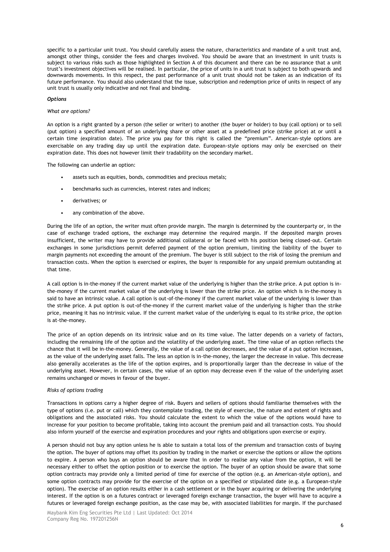specific to a particular unit trust. You should carefully assess the nature, characteristics and mandate of a unit trust and, amongst other things, consider the fees and charges involved. You should be aware that an investment in unit trusts is subject to various risks such as those highlighted in Section A of this document and there can be no assurance that a unit trust"s investment objectives will be realised. In particular, the price of units in a unit trust is subject to both upwards and downwards movements. In this respect, the past performance of a unit trust should not be taken as an indication of its future performance. You should also understand that the issue, subscription and redemption price of units in respect of any unit trust is usually only indicative and not final and binding.

#### *Options*

#### *What are options?*

An option is a right granted by a person (the seller or writer) to another (the buyer or holder) to buy (call option) or to sell (put option) a specified amount of an underlying share or other asset at a predefined price (strike price) at or until a certain time (expiration date). The price you pay for this right is called the "premium". American-style options are exercisable on any trading day up until the expiration date. European-style options may only be exercised on their expiration date. This does not however limit their tradability on the secondary market.

The following can underlie an option:

- assets such as equities, bonds, commodities and precious metals;
- benchmarks such as currencies, interest rates and indices;
- derivatives; or
- any combination of the above.

During the life of an option, the writer must often provide margin. The margin is determined by the counterparty or, in the case of exchange traded options, the exchange may determine the required margin. If the deposited margin proves insufficient, the writer may have to provide additional collateral or be faced with his position being closed-out. Certain exchanges in some jurisdictions permit deferred payment of the option premium, limiting the liability of the buyer to margin payments not exceeding the amount of the premium. The buyer is still subject to the risk of losing the premium and transaction costs. When the option is exercised or expires, the buyer is responsible for any unpaid premium outstanding at that time.

A call option is in-the-money if the current market value of the underlying is higher than the strike price. A put option is inthe-money if the current market value of the underlying is lower than the strike price. An option which is in-the-money is said to have an intrinsic value. A call option is out-of-the-money if the current market value of the underlying is lower than the strike price. A put option is out-of-the-money if the current market value of the underlying is higher than the strike price, meaning it has no intrinsic value. If the current market value of the underlying is equal to its strike price, the option is at-the-money.

The price of an option depends on its intrinsic value and on its time value. The latter depends on a variety of factors, including the remaining life of the option and the volatility of the underlying asset. The time value of an option reflects the chance that it will be in-the-money. Generally, the value of a call option decreases, and the value of a put option increases, as the value of the underlying asset falls. The less an option is in-the-money, the larger the decrease in value. This decrease also generally accelerates as the life of the option expires, and is proportionally larger than the decrease in value of the underlying asset. However, in certain cases, the value of an option may decrease even if the value of the underlying asset remains unchanged or moves in favour of the buyer.

# *Risks of options trading*

Transactions in options carry a higher degree of risk. Buyers and sellers of options should familiarise themselves with the type of options (i.e. put or call) which they contemplate trading, the style of exercise, the nature and extent of rights and obligations and the associated risks. You should calculate the extent to which the value of the options would have to increase for your position to become profitable, taking into account the premium paid and all transaction costs. You should also inform yourself of the exercise and expiration procedures and your rights and obligations upon exercise or expiry.

A person should not buy any option unless he is able to sustain a total loss of the premium and transaction costs of buying the option. The buyer of options may offset its position by trading in the market or exercise the options or allow the options to expire. A person who buys an option should be aware that in order to realise any value from the option, it will be necessary either to offset the option position or to exercise the option. The buyer of an option should be aware that some option contracts may provide only a limited period of time for exercise of the option (e.g. an American-style option), and some option contracts may provide for the exercise of the option on a specified or stipulated date (e.g. a European-style option). The exercise of an option results either in a cash settlement or in the buyer acquiring or delivering the underlying interest. If the option is on a futures contract or leveraged foreign exchange transaction, the buyer will have to acquire a futures or leveraged foreign exchange position, as the case may be, with associated liabilities for margin. If the purchased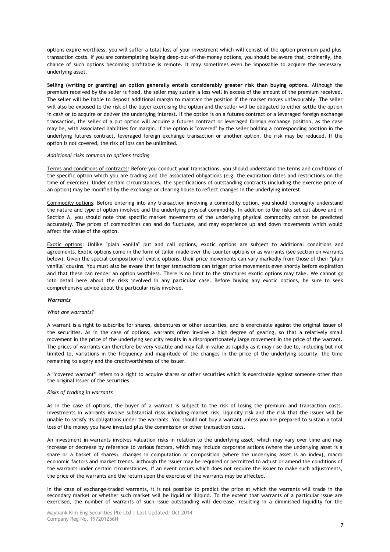options expire worthless, you will suffer a total loss of your investment which will consist of the option premium paid plus transaction costs. If you are contemplating buying deep-out-of-the-money options, you should be aware that, ordinarily, the chance of such options becoming profitable is remote. It may sometimes even be impossible to acquire the necessary underlying asset.

**Selling (writing or granting) an option generally entails considerably greater risk than buying options.** Although the premium received by the seller is fixed, the seller may sustain a loss well in excess of the amount of the premium received. The seller will be liable to deposit additional margin to maintain the position if the market moves unfavourably. The seller will also be exposed to the risk of the buyer exercising the option and the seller will be obligated to either settle the option in cash or to acquire or deliver the underlying interest. If the option is on a futures contract or a leveraged foreign exchange transaction, the seller of a put option will acquire a futures contract or leveraged foreign exchange position, as the case may be, with associated liabilities for margin. If the option is "covered" by the seller holding a corresponding position in the underlying futures contract, leveraged foreign exchange transaction or another option, the risk may be reduced. If the option is not covered, the risk of loss can be unlimited.

#### *Additional risks common to options trading*

Terms and conditions of contracts: Before you conduct your transactions, you should understand the terms and conditions of the specific option which you are trading and the associated obligations (e.g. the expiration dates and restrictions on the time of exercise). Under certain circumstances, the specifications of outstanding contracts (including the exercise price of an option) may be modified by the exchange or clearing house to reflect changes in the underlying interest.

Commodity options: Before entering into any transaction involving a commodity option, you should thoroughly understand the nature and type of option involved and the underlying physical commodity. In addition to the risks set out above and in Section A, you should note that specific market movements of the underlying physical commodity cannot be predicted accurately. The prices of commodities can and do fluctuate, and may experience up and down movements which would affect the value of the option.

Exotic options: Unlike "plain vanilla" put and call options, exotic options are subject to additional conditions and agreements. Exotic options come in the form of tailor-made over-the-counter options or as warrants (see section on warrants below). Given the special composition of exotic options, their price movements can vary markedly from those of their "plain vanilla" cousins. You must also be aware that larger transactions can trigger price movements even shortly before expiration and that these can render an option worthless. There is no limit to the structures exotic options may take. We cannot go into detail here about the risks involved in any particular case. Before buying any exotic options, be sure to seek comprehensive advice about the particular risks involved.

## *Warrants*

#### *What are warrants?*

A warrant is a right to subscribe for shares, debentures or other securities, and is exercisable against the original issuer of the securities. As in the case of options, warrants often involve a high degree of gearing, so that a relatively small movement in the price of the underlying security results in a disproportionately large movement in the price of the warrant. The prices of warrants can therefore be very volatile and may fall in value as rapidly as it may rise due to, including but not limited to, variations in the frequency and magnitude of the changes in the price of the underlying security, the time remaining to expiry and the creditworthiness of the issuer.

A "covered warrant" refers to a right to acquire shares or other securities which is exercisable against someone other than the original issuer of the securities.

#### *Risks of trading in warrants*

As in the case of options, the buyer of a warrant is subject to the risk of losing the premium and transaction costs. Investments in warrants involve substantial risks including market risk, liquidity risk and the risk that the issuer will be unable to satisfy its obligations under the warrants. You should not buy a warrant unless you are prepared to sustain a total loss of the money you have invested plus the commission or other transaction costs.

An investment in warrants involves valuation risks in relation to the underlying asset, which may vary over time and may increase or decrease by reference to various factors, which may include corporate actions (where the underlying asset is a share or a basket of shares), changes in computation or composition (where the underlying asset is an index), macro economic factors and market trends. Although the issuer may be required or permitted to adjust or amend the conditions of the warrants under certain circumstances, if an event occurs which does not require the issuer to make such adjustments, the price of the warrants and the return upon the exercise of the warrants may be affected.

In the case of exchange-traded warrants, it is not possible to predict the price at which the warrants will trade in the secondary market or whether such market will be liquid or illiquid. To the extent that warrants of a particular issue are exercised, the number of warrants of such issue outstanding will decrease, resulting in a diminished liquidity for the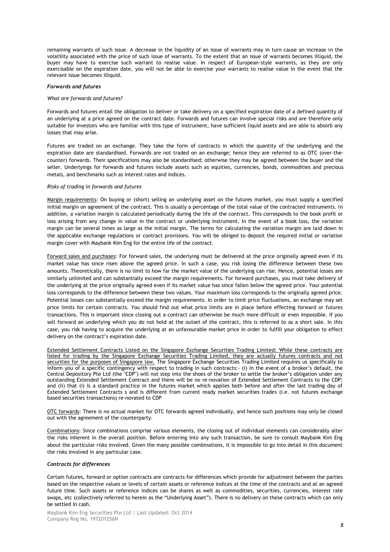remaining warrants of such issue. A decrease in the liquidity of an issue of warrants may in turn cause an increase in the volatility associated with the price of such issue of warrants. To the extent that an issue of warrants becomes illiquid, the buyer may have to exercise such warrant to realise value. In respect of European-style warrants, as they are only exercisable on the expiration date, you will not be able to exercise your warrants to realise value in the event that the relevant issue becomes illiquid.

#### *Forwards and futures*

#### *What are forwards and futures?*

Forwards and futures entail the obligation to deliver or take delivery on a specified expiration date of a defined quantity of an underlying at a price agreed on the contract date. Forwards and futures can involve special risks and are therefore only suitable for investors who are familiar with this type of instrument, have sufficient liquid assets and are able to absorb any losses that may arise.

Futures are traded on an exchange. They take the form of contracts in which the quantity of the underlying and the expiration date are standardised. Forwards are not traded on an exchange; hence they are referred to as OTC (over-thecounter) forwards. Their specifications may also be standardised; otherwise they may be agreed between the buyer and the seller. Underlyings for forwards and futures include assets such as equities, currencies, bonds, commodities and precious metals, and benchmarks such as interest rates and indices.

#### *Risks of trading in forwards and futures*

Margin requirements: On buying or (short) selling an underlying asset on the futures market, you must supply a specified initial margin on agreement of the contract. This is usually a percentage of the total value of the contracted instruments. In addition, a variation margin is calculated periodically during the life of the contract. This corresponds to the book profit or loss arising from any change in value in the contract or underlying instrument. In the event of a book loss, the variation margin can be several times as large as the initial margin. The terms for calculating the variation margin are laid down in the applicable exchange regulations or contract provisions. You will be obliged to deposit the required initial or variation margin cover with Maybank Kim Eng for the entire life of the contract.

Forward sales and purchases: For forward sales, the underlying must be delivered at the price originally agreed even if its market value has since risen above the agreed price. In such a case, you risk losing the difference between these two amounts. Theoretically, there is no limit to how far the market value of the underlying can rise. Hence, potential losses are similarly unlimited and can substantially exceed the margin requirements. For forward purchases, you must take delivery of the underlying at the price originally agreed even if its market value has since fallen below the agreed price. Your potential loss corresponds to the difference between these two values. Your maximum loss corresponds to the originally agreed price. Potential losses can substantially exceed the margin requirements. In order to limit price fluctuations, an exchange may set price limits for certain contracts. You should find out what price limits are in place before effecting forward or futures transactions. This is important since closing out a contract can otherwise be much more difficult or even impossible. If you sell forward an underlying which you do not hold at the outset of the contract, this is referred to as a short sale. In this case, you risk having to acquire the underlying at an unfavourable market price in order to fulfill your obligation to effect delivery on the contract's expiration date.

Extended Settlement Contracts Listed on the Singapore Exchange Securities Trading Limited: While these contracts are listed for trading by the Singapore Exchange Securities Trading Limited, they are actually futures contracts and not securities for the purposes of Singapore law. The Singapore Exchange Securities Trading Limited requires us specifically to inform you of a specific contingency with respect to trading in such contracts:- (i) In the event of a broker"s default, the Central Depository Pte Ltd (the "CDP") will not step into the shoes of the broker to settle the broker"s obligation under any outstanding Extended Settlement Contract and there will be no re-novation of Extended Settlement Contracts to the CDP; and (ii) that (i) is a standard practice in the futures market which applies both before and after the last trading day of Extended Settlement Contracts s and is different from current ready market securities trades (i.e. not futures exchange based securities transactions) re-novated to CDP

OTC forwards: There is no actual market for OTC forwards agreed individually, and hence such positions may only be closed out with the agreement of the counterparty.

Combinations: Since combinations comprise various elements, the closing out of individual elements can considerably alter the risks inherent in the overall position. Before entering into any such transaction, be sure to consult Maybank Kim Eng about the particular risks involved. Given the many possible combinations, it is impossible to go into detail in this document the risks involved in any particular case.

#### *Contracts for differences*

Certain futures, forward or option contracts are contracts for differences which provide for adjustment between the parties based on the respective values or levels of certain assets or reference indices at the time of the contracts and at an agreed future time. Such assets or reference indices can be shares as well as commodities, securities, currencies, interest rate swaps, etc (collectively referred to herein as the "Underlying Asset"). There is no delivery on these contracts which can only be settled in cash.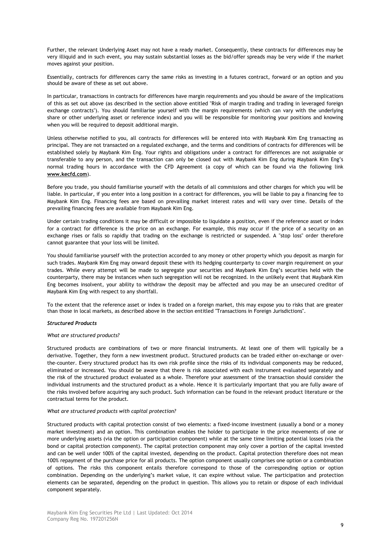Further, the relevant Underlying Asset may not have a ready market. Consequently, these contracts for differences may be very illiquid and in such event, you may sustain substantial losses as the bid/offer spreads may be very wide if the market moves against your position.

Essentially, contracts for differences carry the same risks as investing in a futures contract, forward or an option and you should be aware of these as set out above.

In particular, transactions in contracts for differences have margin requirements and you should be aware of the implications of this as set out above (as described in the section above entitled "Risk of margin trading and trading in leveraged foreign exchange contracts"). You should familiarise yourself with the margin requirements (which can vary with the underlying share or other underlying asset or reference index) and you will be responsible for monitoring your positions and knowing when you will be required to deposit additional margin.

Unless otherwise notified to you, all contracts for differences will be entered into with Maybank Kim Eng transacting as principal. They are not transacted on a regulated exchange, and the terms and conditions of contracts for differences will be established solely by Maybank Kim Eng. Your rights and obligations under a contract for differences are not assignable or transferable to any person, and the transaction can only be closed out with Maybank Kim Eng during Maybank Kim Eng"s normal trading hours in accordance with the CFD Agreement (a copy of which can be found via the following link **www.kecfd.com**).

Before you trade, you should familiarise yourself with the details of all commissions and other charges for which you will be liable. In particular, if you enter into a long position in a contract for differences, you will be liable to pay a financing fee to Maybank Kim Eng. Financing fees are based on prevailing market interest rates and will vary over time. Details of the prevailing financing fees are available from Maybank Kim Eng.

Under certain trading conditions it may be difficult or impossible to liquidate a position, even if the reference asset or index for a contract for difference is the price on an exchange. For example, this may occur if the price of a security on an exchange rises or falls so rapidly that trading on the exchange is restricted or suspended. A "stop loss" order therefore cannot guarantee that your loss will be limited.

You should familiarise yourself with the protection accorded to any money or other property which you deposit as margin for such trades. Maybank Kim Eng may onward deposit these with its hedging counterparty to cover margin requirement on your trades. While every attempt will be made to segregate your securities and Maybank Kim Eng"s securities held with the counterparty, there may be instances when such segregation will not be recognized. In the unlikely event that Maybank Kim Eng becomes insolvent, your ability to withdraw the deposit may be affected and you may be an unsecured creditor of Maybank Kim Eng with respect to any shortfall.

To the extent that the reference asset or index is traded on a foreign market, this may expose you to risks that are greater than those in local markets, as described above in the section entitled "Transactions in Foreign Jurisdictions".

# *Structured Products*

#### *What are structured products?*

Structured products are combinations of two or more financial instruments. At least one of them will typically be a derivative. Together, they form a new investment product. Structured products can be traded either on-exchange or overthe-counter. Every structured product has its own risk profile since the risks of its individual components may be reduced, eliminated or increased. You should be aware that there is risk associated with each instrument evaluated separately and the risk of the structured product evaluated as a whole. Therefore your assessment of the transaction should consider the individual instruments and the structured product as a whole. Hence it is particularly important that you are fully aware of the risks involved before acquiring any such product. Such information can be found in the relevant product literature or the contractual terms for the product.

#### *What are structured products with capital protection?*

Structured products with capital protection consist of two elements: a fixed-income investment (usually a bond or a money market investment) and an option. This combination enables the holder to participate in the price movements of one or more underlying assets (via the option or participation component) while at the same time limiting potential losses (via the bond or capital protection component). The capital protection component may only cover a portion of the capital invested and can be well under 100% of the capital invested, depending on the product. Capital protection therefore does not mean 100% repayment of the purchase price for all products. The option component usually comprises one option or a combination of options. The risks this component entails therefore correspond to those of the corresponding option or option combination. Depending on the underlying"s market value, it can expire without value. The participation and protection elements can be separated, depending on the product in question. This allows you to retain or dispose of each individual component separately.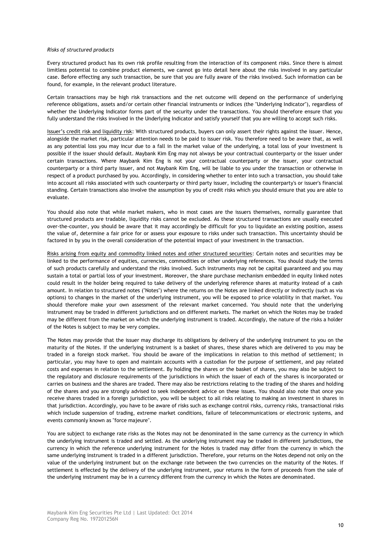#### *Risks of structured products*

Every structured product has its own risk profile resulting from the interaction of its component risks. Since there is almost limitless potential to combine product elements, we cannot go into detail here about the risks involved in any particular case. Before effecting any such transaction, be sure that you are fully aware of the risks involved. Such information can be found, for example, in the relevant product literature.

Certain transactions may be high risk transactions and the net outcome will depend on the performance of underlying reference obligations, assets and/or certain other financial instruments or indices (the "Underlying Indicator"), regardless of whether the Underlying Indicator forms part of the security under the transactions. You should therefore ensure that you fully understand the risks involved in the Underlying Indicator and satisfy yourself that you are willing to accept such risks.

Issuer"s credit risk and liquidity risk: With structured products, buyers can only assert their rights against the issuer. Hence, alongside the market risk, particular attention needs to be paid to issuer risk. You therefore need to be aware that, as well as any potential loss you may incur due to a fall in the market value of the underlying, a total loss of your investment is possible if the issuer should default. Maybank Kim Eng may not always be your contractual counterparty or the issuer under certain transactions. Where Maybank Kim Eng is not your contractual counterparty or the issuer, your contractual counterparty or a third party issuer, and not Maybank Kim Eng, will be liable to you under the transaction or otherwise in respect of a product purchased by you. Accordingly, in considering whether to enter into such a transaction, you should take into account all risks associated with such counterparty or third party issuer, including the counterparty's or issuer's financial standing. Certain transactions also involve the assumption by you of credit risks which you should ensure that you are able to evaluate.

You should also note that while market makers, who in most cases are the issuers themselves, normally guarantee that structured products are tradable, liquidity risks cannot be excluded. As these structured transactions are usually executed over-the-counter, you should be aware that it may accordingly be difficult for you to liquidate an existing position, assess the value of, determine a fair price for or assess your exposure to risks under such transaction. This uncertainty should be factored in by you in the overall consideration of the potential impact of your investment in the transaction.

Risks arising from equity and commodity linked notes and other structured securities: Certain notes and securities may be linked to the performance of equities, currencies, commodities or other underlying references. You should study the terms of such products carefully and understand the risks involved. Such instruments may not be capital guaranteed and you may sustain a total or partial loss of your investment. Moreover, the share purchase mechanism embedded in equity linked notes could result in the holder being required to take delivery of the underlying reference shares at maturity instead of a cash amount. In relation to structured notes ("Notes") where the returns on the Notes are linked directly or indirectly (such as via options) to changes in the market of the underlying instrument, you will be exposed to price volatility in that market. You should therefore make your own assessment of the relevant market concerned. You should note that the underlying instrument may be traded in different jurisdictions and on different markets. The market on which the Notes may be traded may be different from the market on which the underlying instrument is traded. Accordingly, the nature of the risks a holder of the Notes is subject to may be very complex.

The Notes may provide that the issuer may discharge its obligations by delivery of the underlying instrument to you on the maturity of the Notes. If the underlying instrument is a basket of shares, these shares which are delivered to you may be traded in a foreign stock market. You should be aware of the implications in relation to this method of settlement; in particular, you may have to open and maintain accounts with a custodian for the purpose of settlement, and pay related costs and expenses in relation to the settlement. By holding the shares or the basket of shares, you may also be subject to the regulatory and disclosure requirements of the jurisdictions in which the issuer of each of the shares is incorporated or carries on business and the shares are traded. There may also be restrictions relating to the trading of the shares and holding of the shares and you are strongly advised to seek independent advice on these issues. You should also note that once you receive shares traded in a foreign jurisdiction, you will be subject to all risks relating to making an investment in shares in that jurisdiction. Accordingly, you have to be aware of risks such as exchange control risks, currency risks, transactional risks which include suspension of trading, extreme market conditions, failure of telecommunications or electronic systems, and events commonly known as "force majeure".

You are subject to exchange rate risks as the Notes may not be denominated in the same currency as the currency in which the underlying instrument is traded and settled. As the underlying instrument may be traded in different jurisdictions, the currency in which the reference underlying instrument for the Notes is traded may differ from the currency in which the same underlying instrument is traded in a different jurisdiction. Therefore, your returns on the Notes depend not only on the value of the underlying instrument but on the exchange rate between the two currencies on the maturity of the Notes. If settlement is effected by the delivery of the underlying instrument, your returns in the form of proceeds from the sale of the underlying instrument may be in a currency different from the currency in which the Notes are denominated.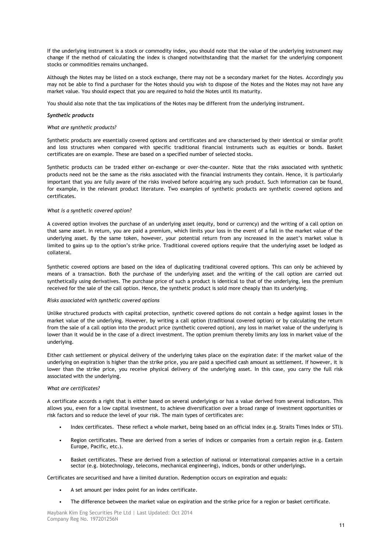If the underlying instrument is a stock or commodity index, you should note that the value of the underlying instrument may change if the method of calculating the index is changed notwithstanding that the market for the underlying component stocks or commodities remains unchanged.

Although the Notes may be listed on a stock exchange, there may not be a secondary market for the Notes. Accordingly you may not be able to find a purchaser for the Notes should you wish to dispose of the Notes and the Notes may not have any market value. You should expect that you are required to hold the Notes until its maturity.

You should also note that the tax implications of the Notes may be different from the underlying instrument.

#### *Synthetic products*

#### *What are synthetic products?*

Synthetic products are essentially covered options and certificates and are characterised by their identical or similar profit and loss structures when compared with specific traditional financial instruments such as equities or bonds. Basket certificates are on example. These are based on a specified number of selected stocks.

Synthetic products can be traded either on-exchange or over-the-counter. Note that the risks associated with synthetic products need not be the same as the risks associated with the financial instruments they contain. Hence, it is particularly important that you are fully aware of the risks involved before acquiring any such product. Such information can be found, for example, in the relevant product literature. Two examples of synthetic products are synthetic covered options and certificates.

### *What is a synthetic covered option?*

A covered option involves the purchase of an underlying asset (equity, bond or currency) and the writing of a call option on that same asset. In return, you are paid a premium, which limits your loss in the event of a fall in the market value of the underlying asset. By the same token, however, your potential return from any increased in the asset"s market value is limited to gains up to the option"s strike price. Traditional covered options require that the underlying asset be lodged as collateral.

Synthetic covered options are based on the idea of duplicating traditional covered options. This can only be achieved by means of a transaction. Both the purchase of the underlying asset and the writing of the call option are carried out synthetically using derivatives. The purchase price of such a product is identical to that of the underlying, less the premium received for the sale of the call option. Hence, the synthetic product is sold more cheaply than its underlying.

#### *Risks associated with synthetic covered options*

Unlike structured products with capital protection, synthetic covered options do not contain a hedge against losses in the market value of the underlying. However, by writing a call option (traditional covered option) or by calculating the return from the sale of a call option into the product price (synthetic covered option), any loss in market value of the underlying is lower than it would be in the case of a direct investment. The option premium thereby limits any loss in market value of the underlying.

Either cash settlement or physical delivery of the underlying takes place on the expiration date: if the market value of the underlying on expiration is higher than the strike price, you are paid a specified cash amount as settlement. If however, it is lower than the strike price, you receive physical delivery of the underlying asset. In this case, you carry the full risk associated with the underlying.

#### *What are certificates?*

A certificate accords a right that is either based on several underlyings or has a value derived from several indicators. This allows you, even for a low capital investment, to achieve diversification over a broad range of investment opportunities or risk factors and so reduce the level of your risk. The main types of certificates are:

- Index certificates. These reflect a whole market, being based on an official index (e.g. Straits Times Index or STI).
- Region certificates. These are derived from a series of indices or companies from a certain region (e.g. Eastern Europe, Pacific, etc.).
- Basket certificates. These are derived from a selection of national or international companies active in a certain sector (e.g. biotechnology, telecoms, mechanical engineering), indices, bonds or other underlyings.

Certificates are securitised and have a limited duration. Redemption occurs on expiration and equals:

- A set amount per index point for an index certificate.
- The difference between the market value on expiration and the strike price for a region or basket certificate.

Maybank Kim Eng Securities Pte Ltd | Last Updated: Oct 2014 Company Reg No. 197201256N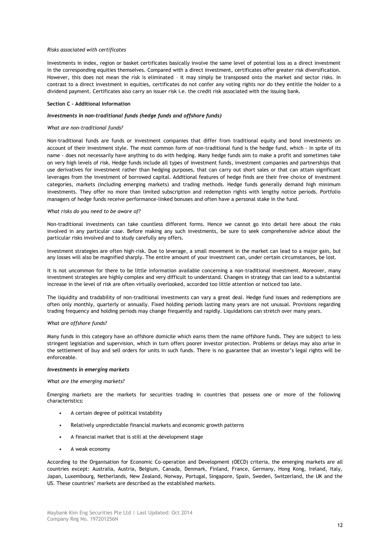#### *Risks associated with certificates*

Investments in index, region or basket certificates basically involve the same level of potential loss as a direct investment in the corresponding equities themselves. Compared with a direct investment, certificates offer greater risk diversification. However, this does not mean the risk is eliminated – it may simply be transposed onto the market and sector risks. In contrast to a direct investment in equities, certificates do not confer any voting rights nor do they entitle the holder to a dividend payment. Certificates also carry an issuer risk i.e. the credit risk associated with the issuing bank.

## **Section C – Additional information**

#### *Investments in non-traditional funds (hedge funds and offshore funds)*

#### *What are non-traditional funds?*

Non-traditional funds are funds or investment companies that differ from traditional equity and bond investments on account of their investment style. The most common form of non-traditional fund is the hedge fund, which - in spite of its name - does not necessarily have anything to do with hedging. Many hedge funds aim to make a profit and sometimes take on very high levels of risk. Hedge funds include all types of investment funds, investment companies and partnerships that use derivatives for investment rather than hedging purposes, that can carry out short sales or that can attain significant leverages from the investment of borrowed capital. Additional features of hedge finds are their free choice of investment categories, markets (including emerging markets) and trading methods. Hedge funds generally demand high minimum investments. They offer no more than limited subscription and redemption rights with lengthy notice periods. Portfolio managers of hedge funds receive performance-linked bonuses and often have a personal stake in the fund.

### *What risks do you need to be aware of?*

Non-traditional investments can take countless different forms. Hence we cannot go into detail here about the risks involved in any particular case. Before making any such investments, be sure to seek comprehensive advice about the particular risks involved and to study carefully any offers.

Investment strategies are often high-risk. Due to leverage, a small movement in the market can lead to a major gain, but any losses will also be magnified sharply. The entire amount of your investment can, under certain circumstances, be lost.

It is not uncommon for there to be little information available concerning a non-traditional investment. Moreover, many investment strategies are highly complex and very difficult to understand. Changes in strategy that can lead to a substantial increase in the level of risk are often virtually overlooked, accorded too little attention or noticed too late.

The liquidity and tradability of non-traditional investments can vary a great deal. Hedge fund issues and redemptions are often only monthly, quarterly or annually. Fixed holding periods lasting many years are not unusual. Provisions regarding trading frequency and holding periods may change frequently and rapidly. Liquidations can stretch over many years.

#### *What are offshore funds?*

Many funds in this category have an offshore domicile which earns them the name offshore funds. They are subject to less stringent legislation and supervision, which in turn offers poorer investor protection. Problems or delays may also arise in the settlement of buy and sell orders for units in such funds. There is no guarantee that an investor"s legal rights will be enforceable.

#### *Investments in emerging markets*

#### *What are the emerging markets?*

Emerging markets are the markets for securities trading in countries that possess one or more of the following characteristics:

- A certain degree of political instability
- Relatively unpredictable financial markets and economic growth patterns
- A financial market that is still at the development stage
- A weak economy

According to the Organisation for Economic Co-operation and Development (OECD) criteria, the emerging markets are all countries except: Australia, Austria, Belgium, Canada, Denmark, Finland, France, Germany, Hong Kong, Ireland, Italy, Japan, Luxembourg, Netherlands, New Zealand, Norway, Portugal, Singapore, Spain, Sweden, Switzerland, the UK and the US. These countries" markets are described as the established markets.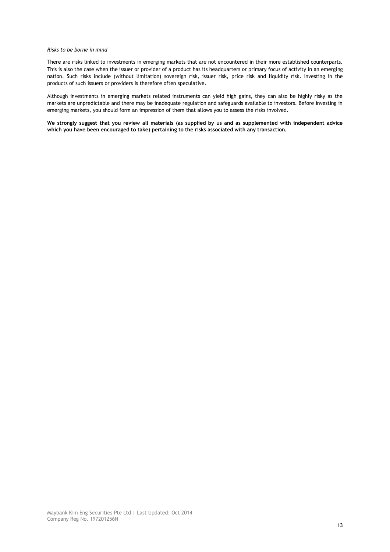#### *Risks to be borne in mind*

There are risks linked to investments in emerging markets that are not encountered in their more established counterparts. This is also the case when the issuer or provider of a product has its headquarters or primary focus of activity in an emerging nation. Such risks include (without limitation) sovereign risk, issuer risk, price risk and liquidity risk. Investing in the products of such issuers or providers is therefore often speculative.

Although investments in emerging markets related instruments can yield high gains, they can also be highly risky as the markets are unpredictable and there may be inadequate regulation and safeguards available to investors. Before investing in emerging markets, you should form an impression of them that allows you to assess the risks involved.

**We strongly suggest that you review all materials (as supplied by us and as supplemented with independent advice**  which you have been encouraged to take) pertaining to the risks associated with any transaction.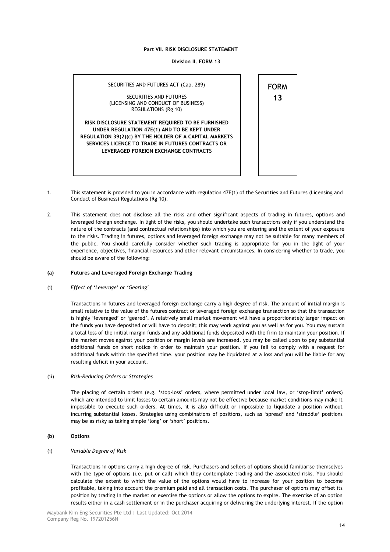**Division II. FORM 13**



- 1. This statement is provided to you in accordance with regulation 47E(1) of the Securities and Futures (Licensing and Conduct of Business) Regulations (Rg 10).
- 2. This statement does not disclose all the risks and other significant aspects of trading in futures, options and leveraged foreign exchange. In light of the risks, you should undertake such transactions only if you understand the nature of the contracts (and contractual relationships) into which you are entering and the extent of your exposure to the risks. Trading in futures, options and leveraged foreign exchange may not be suitable for many members of the public. You should carefully consider whether such trading is appropriate for you in the light of your experience, objectives, financial resources and other relevant circumstances. In considering whether to trade, you should be aware of the following:

#### **(a) Futures and Leveraged Foreign Exchange Trading**

#### (i) *Effect of "Leverage" or "Gearing"*

Transactions in futures and leveraged foreign exchange carry a high degree of risk. The amount of initial margin is small relative to the value of the futures contract or leveraged foreign exchange transaction so that the transaction is highly "leveraged" or "geared". A relatively small market movement will have a proportionately larger impact on the funds you have deposited or will have to deposit; this may work against you as well as for you. You may sustain a total loss of the initial margin funds and any additional funds deposited with the firm to maintain your position. If the market moves against your position or margin levels are increased, you may be called upon to pay substantial additional funds on short notice in order to maintain your position. If you fail to comply with a request for additional funds within the specified time, your position may be liquidated at a loss and you will be liable for any resulting deficit in your account.

## (ii) *Risk-Reducing Orders or Strategies*

The placing of certain orders (e.g. "stop-loss" orders, where permitted under local law, or "stop-limit" orders) which are intended to limit losses to certain amounts may not be effective because market conditions may make it impossible to execute such orders. At times, it is also difficult or impossible to liquidate a position without incurring substantial losses. Strategies using combinations of positions, such as "spread" and "straddle" positions may be as risky as taking simple 'long' or 'short' positions.

**(b) Options** 

# (i) *Variable Degree of Risk*

Transactions in options carry a high degree of risk. Purchasers and sellers of options should familiarise themselves with the type of options (i.e. put or call) which they contemplate trading and the associated risks. You should calculate the extent to which the value of the options would have to increase for your position to become profitable, taking into account the premium paid and all transaction costs. The purchaser of options may offset its position by trading in the market or exercise the options or allow the options to expire. The exercise of an option results either in a cash settlement or in the purchaser acquiring or delivering the underlying interest. If the option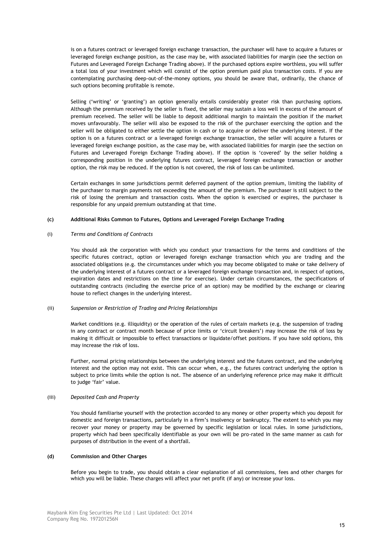is on a futures contract or leveraged foreign exchange transaction, the purchaser will have to acquire a futures or leveraged foreign exchange position, as the case may be, with associated liabilities for margin (see the section on Futures and Leveraged Foreign Exchange Trading above). If the purchased options expire worthless, you will suffer a total loss of your investment which will consist of the option premium paid plus transaction costs. If you are contemplating purchasing deep-out-of-the-money options, you should be aware that, ordinarily, the chance of such options becoming profitable is remote.

Selling ('writing' or 'granting') an option generally entails considerably greater risk than purchasing options. Although the premium received by the seller is fixed, the seller may sustain a loss well in excess of the amount of premium received. The seller will be liable to deposit additional margin to maintain the position if the market moves unfavourably. The seller will also be exposed to the risk of the purchaser exercising the option and the seller will be obligated to either settle the option in cash or to acquire or deliver the underlying interest. If the option is on a futures contract or a leveraged foreign exchange transaction, the seller will acquire a futures or leveraged foreign exchange position, as the case may be, with associated liabilities for margin (see the section on Futures and Leveraged Foreign Exchange Trading above). If the option is "covered" by the seller holding a corresponding position in the underlying futures contract, leveraged foreign exchange transaction or another option, the risk may be reduced. If the option is not covered, the risk of loss can be unlimited.

Certain exchanges in some jurisdictions permit deferred payment of the option premium, limiting the liability of the purchaser to margin payments not exceeding the amount of the premium. The purchaser is still subject to the risk of losing the premium and transaction costs. When the option is exercised or expires, the purchaser is responsible for any unpaid premium outstanding at that time.

#### **(c) Additional Risks Common to Futures, Options and Leveraged Foreign Exchange Trading**

### (i) *Terms and Conditions of Contracts*

You should ask the corporation with which you conduct your transactions for the terms and conditions of the specific futures contract, option or leveraged foreign exchange transaction which you are trading and the associated obligations (e.g. the circumstances under which you may become obligated to make or take delivery of the underlying interest of a futures contract or a leveraged foreign exchange transaction and, in respect of options, expiration dates and restrictions on the time for exercise). Under certain circumstances, the specifications of outstanding contracts (including the exercise price of an option) may be modified by the exchange or clearing house to reflect changes in the underlying interest.

## (ii) *Suspension or Restriction of Trading and Pricing Relationships*

Market conditions (e.g. illiquidity) or the operation of the rules of certain markets (e.g. the suspension of trading in any contract or contract month because of price limits or 'circuit breakers') may increase the risk of loss by making it difficult or impossible to effect transactions or liquidate/offset positions. If you have sold options, this may increase the risk of loss.

Further, normal pricing relationships between the underlying interest and the futures contract, and the underlying interest and the option may not exist. This can occur when, e.g., the futures contract underlying the option is subject to price limits while the option is not. The absence of an underlying reference price may make it difficult to judge 'fair' value.

## (iii) *Deposited Cash and Property*

You should familiarise yourself with the protection accorded to any money or other property which you deposit for domestic and foreign transactions, particularly in a firm"s insolvency or bankruptcy. The extent to which you may recover your money or property may be governed by specific legislation or local rules. In some jurisdictions, property which had been specifically identifiable as your own will be pro-rated in the same manner as cash for purposes of distribution in the event of a shortfall.

## **(d) Commission and Other Charges**

Before you begin to trade, you should obtain a clear explanation of all commissions, fees and other charges for which you will be liable. These charges will affect your net profit (if any) or increase your loss.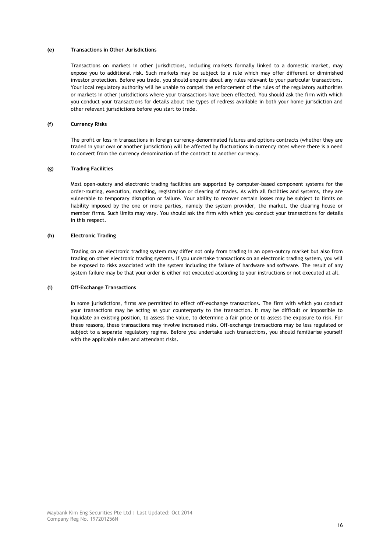## **(e) Transactions in Other Jurisdictions**

Transactions on markets in other jurisdictions, including markets formally linked to a domestic market, may expose you to additional risk. Such markets may be subject to a rule which may offer different or diminished investor protection. Before you trade, you should enquire about any rules relevant to your particular transactions. Your local regulatory authority will be unable to compel the enforcement of the rules of the regulatory authorities or markets in other jurisdictions where your transactions have been effected. You should ask the firm with which you conduct your transactions for details about the types of redress available in both your home jurisdiction and other relevant jurisdictions before you start to trade.

## **(f) Currency Risks**

The profit or loss in transactions in foreign currency-denominated futures and options contracts (whether they are traded in your own or another jurisdiction) will be affected by fluctuations in currency rates where there is a need to convert from the currency denomination of the contract to another currency.

## **(g) Trading Facilities**

Most open-outcry and electronic trading facilities are supported by computer-based component systems for the order-routing, execution, matching, registration or clearing of trades. As with all facilities and systems, they are vulnerable to temporary disruption or failure. Your ability to recover certain losses may be subject to limits on liability imposed by the one or more parties, namely the system provider, the market, the clearing house or member firms. Such limits may vary. You should ask the firm with which you conduct your transactions for details in this respect.

## **(h) Electronic Trading**

Trading on an electronic trading system may differ not only from trading in an open-outcry market but also from trading on other electronic trading systems. If you undertake transactions on an electronic trading system, you will be exposed to risks associated with the system including the failure of hardware and software. The result of any system failure may be that your order is either not executed according to your instructions or not executed at all.

## **(i) Off-Exchange Transactions**

In some jurisdictions, firms are permitted to effect off-exchange transactions. The firm with which you conduct your transactions may be acting as your counterparty to the transaction. It may be difficult or impossible to liquidate an existing position, to assess the value, to determine a fair price or to assess the exposure to risk. For these reasons, these transactions may involve increased risks. Off-exchange transactions may be less regulated or subject to a separate regulatory regime. Before you undertake such transactions, you should familiarise yourself with the applicable rules and attendant risks.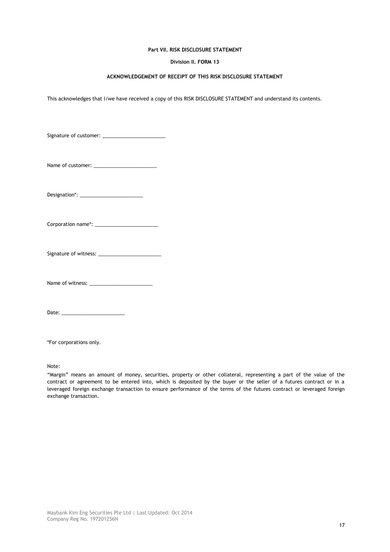# **Division II. FORM 13**

# **ACKNOWLEDGEMENT OF RECEIPT OF THIS RISK DISCLOSURE STATEMENT**

This acknowledges that I/we have received a copy of this RISK DISCLOSURE STATEMENT and understand its contents.

| Date: |  |
|-------|--|

\*For corporations only.

Note:

"Margin" means an amount of money, securities, property or other collateral, representing a part of the value of the contract or agreement to be entered into, which is deposited by the buyer or the seller of a futures contract or in a leveraged foreign exchange transaction to ensure performance of the terms of the futures contract or leveraged foreign exchange transaction.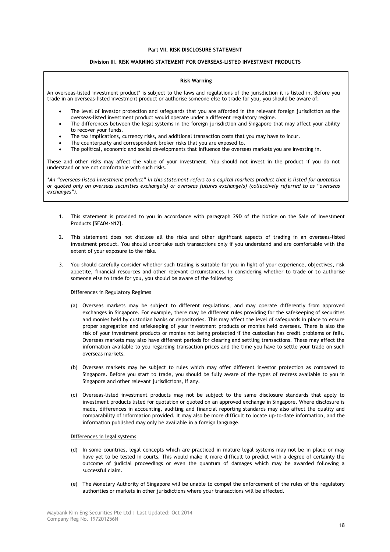## **Division III. RISK WARNING STATEMENT FOR OVERSEAS-LISTED INVESTMENT PRODUCTS**

#### **Risk Warning**

An overseas-listed investment product\* is subject to the laws and regulations of the jurisdiction it is listed in. Before you trade in an overseas-listed investment product or authorise someone else to trade for you, you should be aware of:

- The level of investor protection and safeguards that you are afforded in the relevant foreign jurisdiction as the overseas-listed investment product would operate under a different regulatory regime.
- The differences between the legal systems in the foreign jurisdiction and Singapore that may affect your ability to recover your funds.
- The tax implications, currency risks, and additional transaction costs that you may have to incur.
- The counterparty and correspondent broker risks that you are exposed to.
- The political, economic and social developments that influence the overseas markets you are investing in.

These and other risks may affect the value of your investment. You should not invest in the product if you do not understand or are not comfortable with such risks.

*\*An "overseas-listed investment product" in this statement refers to a capital markets product that is listed for quotation or quoted only on overseas securities exchange(s) or overseas futures exchange(s) (collectively referred to as "overseas exchanges").*

- 1. This statement is provided to you in accordance with paragraph 29D of the Notice on the Sale of Investment Products [SFA04-N12].
- 2. This statement does not disclose all the risks and other significant aspects of trading in an overseas-listed investment product. You should undertake such transactions only if you understand and are comfortable with the extent of your exposure to the risks.
- 3. You should carefully consider whether such trading is suitable for you in light of your experience, objectives, risk appetite, financial resources and other relevant circumstances. In considering whether to trade or to authorise someone else to trade for you, you should be aware of the following:

#### Differences in Regulatory Regimes

- (a) Overseas markets may be subject to different regulations, and may operate differently from approved exchanges in Singapore. For example, there may be different rules providing for the safekeeping of securities and monies held by custodian banks or depositories. This may affect the level of safeguards in place to ensure proper segregation and safekeeping of your investment products or monies held overseas. There is also the risk of your investment products or monies not being protected if the custodian has credit problems or fails. Overseas markets may also have different periods for clearing and settling transactions. These may affect the information available to you regarding transaction prices and the time you have to settle your trade on such overseas markets.
- (b) Overseas markets may be subject to rules which may offer different investor protection as compared to Singapore. Before you start to trade, you should be fully aware of the types of redress available to you in Singapore and other relevant jurisdictions, if any.
- (c) Overseas-listed investment products may not be subject to the same disclosure standards that apply to investment products listed for quotation or quoted on an approved exchange in Singapore. Where disclosure is made, differences in accounting, auditing and financial reporting standards may also affect the quality and comparability of information provided. It may also be more difficult to locate up-to-date information, and the information published may only be available in a foreign language.

#### Differences in legal systems

- (d) In some countries, legal concepts which are practiced in mature legal systems may not be in place or may have yet to be tested in courts. This would make it more difficult to predict with a degree of certainty the outcome of judicial proceedings or even the quantum of damages which may be awarded following a successful claim.
- (e) The Monetary Authority of Singapore will be unable to compel the enforcement of the rules of the regulatory authorities or markets in other jurisdictions where your transactions will be effected.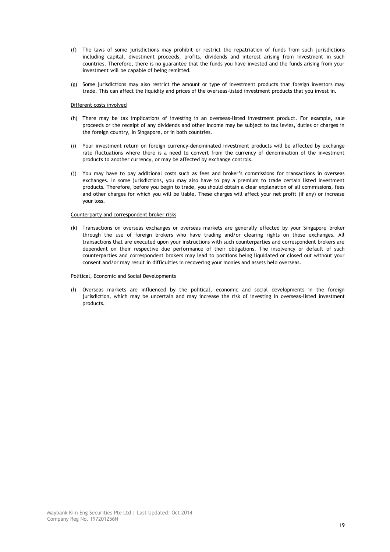- (f) The laws of some jurisdictions may prohibit or restrict the repatriation of funds from such jurisdictions including capital, divestment proceeds, profits, dividends and interest arising from investment in such countries. Therefore, there is no guarantee that the funds you have invested and the funds arising from your investment will be capable of being remitted.
- (g) Some jurisdictions may also restrict the amount or type of investment products that foreign investors may trade. This can affect the liquidity and prices of the overseas-listed investment products that you invest in.

## Different costs involved

- (h) There may be tax implications of investing in an overseas-listed investment product. For example, sale proceeds or the receipt of any dividends and other income may be subject to tax levies, duties or charges in the foreign country, in Singapore, or in both countries.
- (i) Your investment return on foreign currency-denominated investment products will be affected by exchange rate fluctuations where there is a need to convert from the currency of denomination of the investment products to another currency, or may be affected by exchange controls.
- (j) You may have to pay additional costs such as fees and broker"s commissions for transactions in overseas exchanges. In some jurisdictions, you may also have to pay a premium to trade certain listed investment products. Therefore, before you begin to trade, you should obtain a clear explanation of all commissions, fees and other charges for which you will be liable. These charges will affect your net profit (if any) or increase your loss.

#### Counterparty and correspondent broker risks

(k) Transactions on overseas exchanges or overseas markets are generally effected by your Singapore broker through the use of foreign brokers who have trading and/or clearing rights on those exchanges. All transactions that are executed upon your instructions with such counterparties and correspondent brokers are dependent on their respective due performance of their obligations. The insolvency or default of such counterparties and correspondent brokers may lead to positions being liquidated or closed out without your consent and/or may result in difficulties in recovering your monies and assets held overseas.

# Political, Economic and Social Developments

(l) Overseas markets are influenced by the political, economic and social developments in the foreign jurisdiction, which may be uncertain and may increase the risk of investing in overseas-listed investment products.